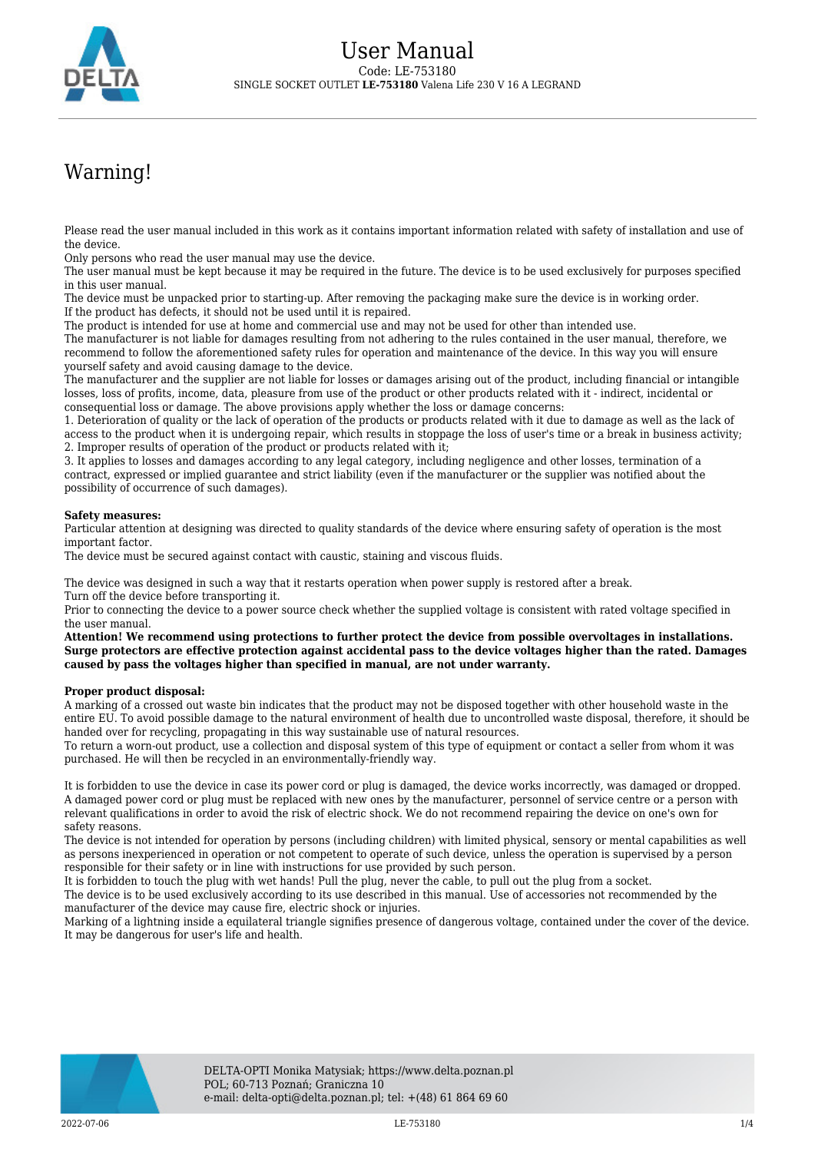

## Warning!

Please read the user manual included in this work as it contains important information related with safety of installation and use of the device.

Only persons who read the user manual may use the device.

The user manual must be kept because it may be required in the future. The device is to be used exclusively for purposes specified in this user manual.

The device must be unpacked prior to starting-up. After removing the packaging make sure the device is in working order. If the product has defects, it should not be used until it is repaired.

The product is intended for use at home and commercial use and may not be used for other than intended use.

The manufacturer is not liable for damages resulting from not adhering to the rules contained in the user manual, therefore, we recommend to follow the aforementioned safety rules for operation and maintenance of the device. In this way you will ensure yourself safety and avoid causing damage to the device.

The manufacturer and the supplier are not liable for losses or damages arising out of the product, including financial or intangible losses, loss of profits, income, data, pleasure from use of the product or other products related with it - indirect, incidental or consequential loss or damage. The above provisions apply whether the loss or damage concerns:

1. Deterioration of quality or the lack of operation of the products or products related with it due to damage as well as the lack of access to the product when it is undergoing repair, which results in stoppage the loss of user's time or a break in business activity; 2. Improper results of operation of the product or products related with it;

3. It applies to losses and damages according to any legal category, including negligence and other losses, termination of a contract, expressed or implied guarantee and strict liability (even if the manufacturer or the supplier was notified about the possibility of occurrence of such damages).

## **Safety measures:**

Particular attention at designing was directed to quality standards of the device where ensuring safety of operation is the most important factor.

The device must be secured against contact with caustic, staining and viscous fluids.

The device was designed in such a way that it restarts operation when power supply is restored after a break. Turn off the device before transporting it.

Prior to connecting the device to a power source check whether the supplied voltage is consistent with rated voltage specified in the user manual.

**Attention! We recommend using protections to further protect the device from possible overvoltages in installations. Surge protectors are effective protection against accidental pass to the device voltages higher than the rated. Damages caused by pass the voltages higher than specified in manual, are not under warranty.**

## **Proper product disposal:**

A marking of a crossed out waste bin indicates that the product may not be disposed together with other household waste in the entire EU. To avoid possible damage to the natural environment of health due to uncontrolled waste disposal, therefore, it should be handed over for recycling, propagating in this way sustainable use of natural resources.

To return a worn-out product, use a collection and disposal system of this type of equipment or contact a seller from whom it was purchased. He will then be recycled in an environmentally-friendly way.

It is forbidden to use the device in case its power cord or plug is damaged, the device works incorrectly, was damaged or dropped. A damaged power cord or plug must be replaced with new ones by the manufacturer, personnel of service centre or a person with relevant qualifications in order to avoid the risk of electric shock. We do not recommend repairing the device on one's own for safety reasons.

The device is not intended for operation by persons (including children) with limited physical, sensory or mental capabilities as well as persons inexperienced in operation or not competent to operate of such device, unless the operation is supervised by a person responsible for their safety or in line with instructions for use provided by such person.

It is forbidden to touch the plug with wet hands! Pull the plug, never the cable, to pull out the plug from a socket.

The device is to be used exclusively according to its use described in this manual. Use of accessories not recommended by the manufacturer of the device may cause fire, electric shock or injuries.

Marking of a lightning inside a equilateral triangle signifies presence of dangerous voltage, contained under the cover of the device. It may be dangerous for user's life and health.

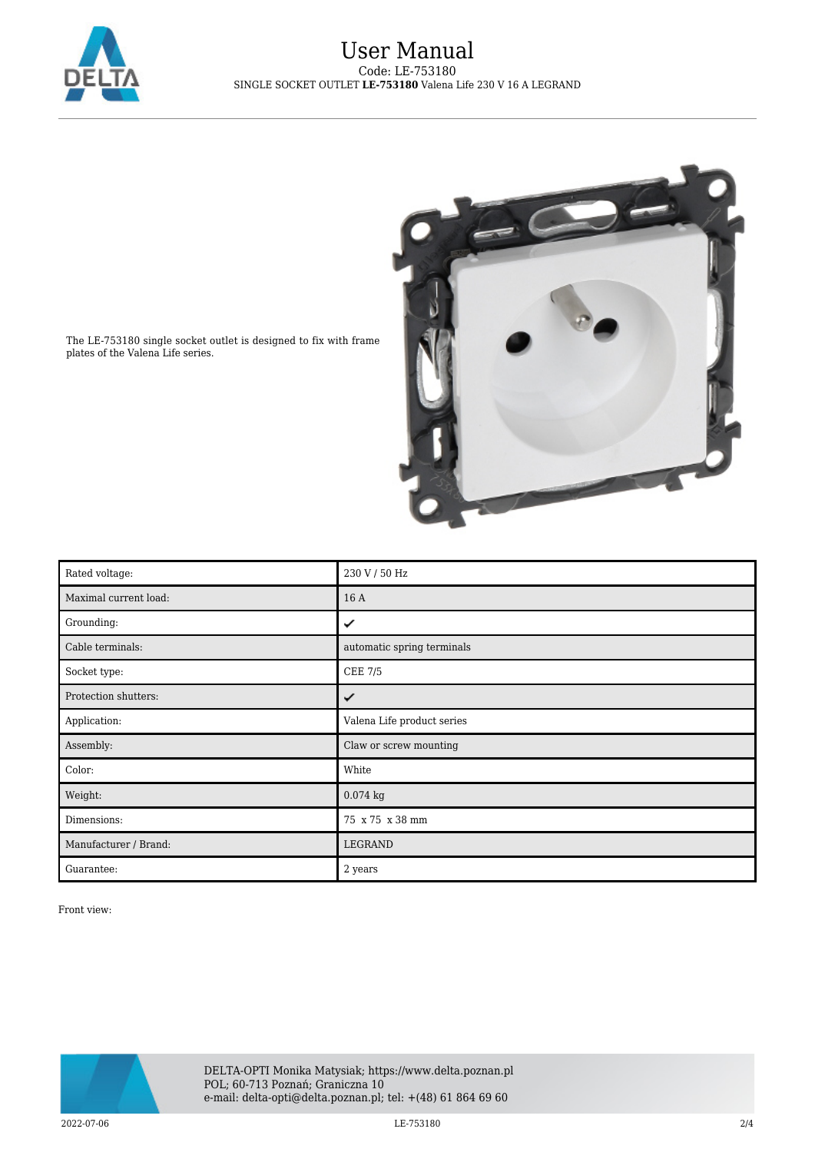



The LE-753180 single socket outlet is designed to fix with frame plates of the Valena Life series.

| Rated voltage:        | 230 V / 50 Hz              |
|-----------------------|----------------------------|
| Maximal current load: | 16 A                       |
| Grounding:            | ✓                          |
| Cable terminals:      | automatic spring terminals |
| Socket type:          | <b>CEE 7/5</b>             |
| Protection shutters:  | ✓                          |
| Application:          | Valena Life product series |
| Assembly:             | Claw or screw mounting     |
| Color:                | White                      |
| Weight:               | $0.074$ kg                 |
| Dimensions:           | 75 x 75 x 38 mm            |
| Manufacturer / Brand: | LEGRAND                    |
| Guarantee:            | 2 years                    |

Front view:

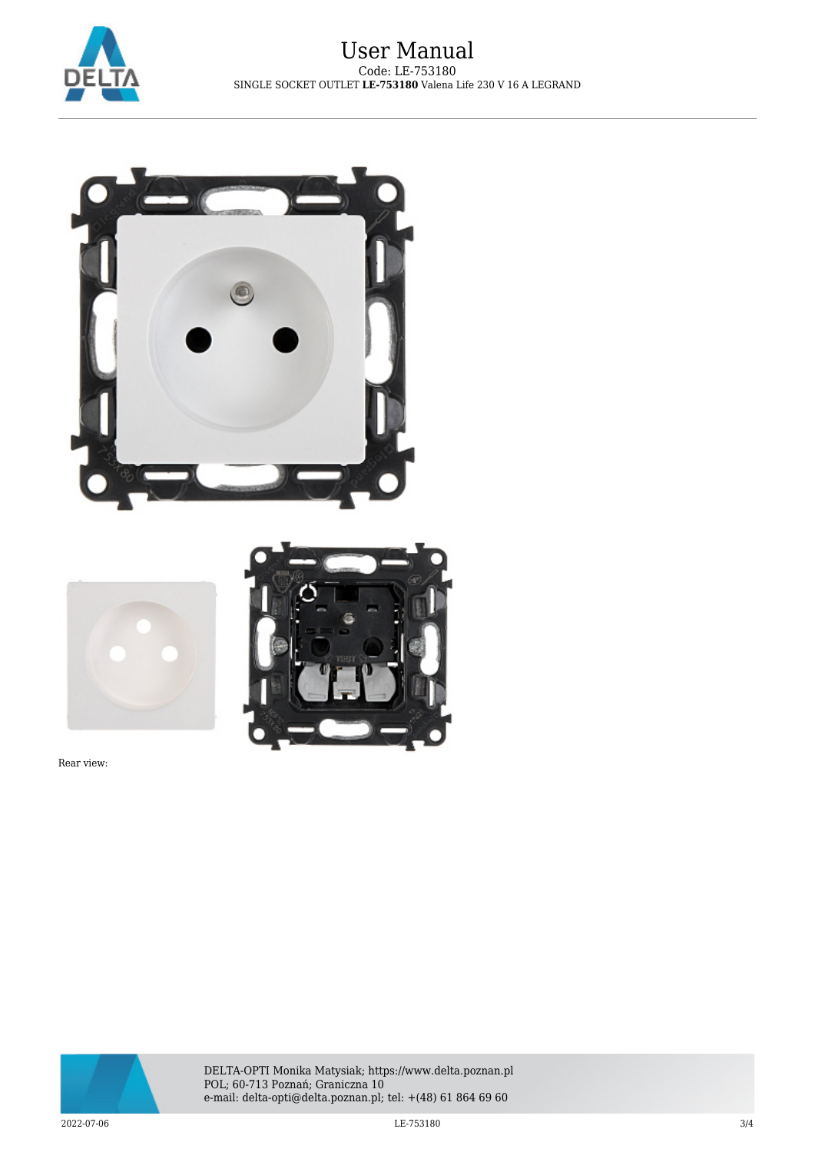



Rear view:



DELTA-OPTI Monika Matysiak; https://www.delta.poznan.pl POL; 60-713 Poznań; Graniczna 10 e-mail: delta-opti@delta.poznan.pl; tel: +(48) 61 864 69 60

 $2022$ -07-06 3/4